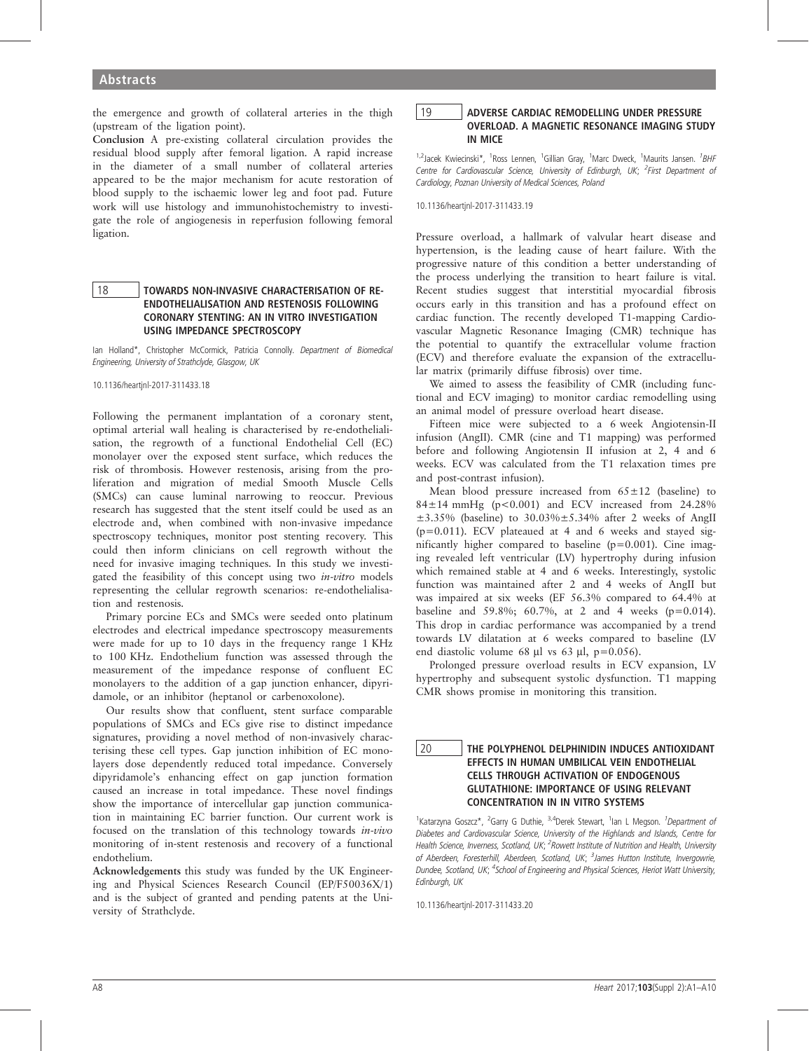the emergence and growth of collateral arteries in the thigh (upstream of the ligation point).

Conclusion A pre-existing collateral circulation provides the residual blood supply after femoral ligation. A rapid increase in the diameter of a small number of collateral arteries appeared to be the major mechanism for acute restoration of blood supply to the ischaemic lower leg and foot pad. Future work will use histology and immunohistochemistry to investigate the role of angiogenesis in reperfusion following femoral ligation.

## 18 TOWARDS NON-INVASIVE CHARACTERISATION OF RE-ENDOTHELIALISATION AND RESTENOSIS FOLLOWING CORONARY STENTING: AN IN VITRO INVESTIGATION USING IMPEDANCE SPECTROSCOPY

Ian Holland\*, Christopher McCormick, Patricia Connolly. Department of Biomedical Engineering, University of Strathclyde, Glasgow, UK

10.1136/heartjnl-2017-311433.18

Following the permanent implantation of a coronary stent, optimal arterial wall healing is characterised by re-endothelialisation, the regrowth of a functional Endothelial Cell (EC) monolayer over the exposed stent surface, which reduces the risk of thrombosis. However restenosis, arising from the proliferation and migration of medial Smooth Muscle Cells (SMCs) can cause luminal narrowing to reoccur. Previous research has suggested that the stent itself could be used as an electrode and, when combined with non-invasive impedance spectroscopy techniques, monitor post stenting recovery. This could then inform clinicians on cell regrowth without the need for invasive imaging techniques. In this study we investigated the feasibility of this concept using two in-vitro models representing the cellular regrowth scenarios: re-endothelialisation and restenosis.

Primary porcine ECs and SMCs were seeded onto platinum electrodes and electrical impedance spectroscopy measurements were made for up to 10 days in the frequency range 1 KHz to 100 KHz. Endothelium function was assessed through the measurement of the impedance response of confluent EC monolayers to the addition of a gap junction enhancer, dipyridamole, or an inhibitor (heptanol or carbenoxolone).

Our results show that confluent, stent surface comparable populations of SMCs and ECs give rise to distinct impedance signatures, providing a novel method of non-invasively characterising these cell types. Gap junction inhibition of EC monolayers dose dependently reduced total impedance. Conversely dipyridamole's enhancing effect on gap junction formation caused an increase in total impedance. These novel findings show the importance of intercellular gap junction communication in maintaining EC barrier function. Our current work is focused on the translation of this technology towards in-vivo monitoring of in-stent restenosis and recovery of a functional endothelium.

Acknowledgements this study was funded by the UK Engineering and Physical Sciences Research Council (EP/F50036X/1) and is the subject of granted and pending patents at the University of Strathclyde.

## 19 ADVERSE CARDIAC REMODELLING UNDER PRESSURE OVERLOAD. A MAGNETIC RESONANCE IMAGING STUDY IN MICE

<sup>1,2</sup>Jacek Kwiecinski\*, <sup>1</sup>Ross Lennen, <sup>1</sup>Gillian Gray, <sup>1</sup>Marc Dweck, <sup>1</sup>Maurits Jansen. <sup>1</sup>BHF Centre for Cardiovascular Science, University of Edinburgh, UK; <sup>2</sup>First Department of Cardiology, Poznan University of Medical Sciences, Poland

10.1136/heartjnl-2017-311433.19

Pressure overload, a hallmark of valvular heart disease and hypertension, is the leading cause of heart failure. With the progressive nature of this condition a better understanding of the process underlying the transition to heart failure is vital. Recent studies suggest that interstitial myocardial fibrosis occurs early in this transition and has a profound effect on cardiac function. The recently developed T1-mapping Cardiovascular Magnetic Resonance Imaging (CMR) technique has the potential to quantify the extracellular volume fraction (ECV) and therefore evaluate the expansion of the extracellular matrix (primarily diffuse fibrosis) over time.

We aimed to assess the feasibility of CMR (including functional and ECV imaging) to monitor cardiac remodelling using an animal model of pressure overload heart disease.

Fifteen mice were subjected to a 6 week Angiotensin-II infusion (AngII). CMR (cine and T1 mapping) was performed before and following Angiotensin II infusion at 2, 4 and 6 weeks. ECV was calculated from the T1 relaxation times pre and post-contrast infusion).

Mean blood pressure increased from  $65 \pm 12$  (baseline) to  $84 \pm 14$  mmHg ( $p < 0.001$ ) and ECV increased from 24.28%  $\pm 3.35\%$  (baseline) to  $30.03\% \pm 5.34\%$  after 2 weeks of AngII (p=0.011). ECV plateaued at 4 and 6 weeks and stayed significantly higher compared to baseline (p=0.001). Cine imaging revealed left ventricular (LV) hypertrophy during infusion which remained stable at 4 and 6 weeks. Interestingly, systolic function was maintained after 2 and 4 weeks of AngII but was impaired at six weeks (EF 56.3% compared to 64.4% at baseline and 59.8%;  $60.7\%$ , at 2 and 4 weeks (p=0.014). This drop in cardiac performance was accompanied by a trend towards LV dilatation at 6 weeks compared to baseline (LV end diastolic volume 68 µl vs 63 µl,  $p=0.056$ ).

Prolonged pressure overload results in ECV expansion, LV hypertrophy and subsequent systolic dysfunction. T1 mapping CMR shows promise in monitoring this transition.

## 20 **THE POLYPHENOL DELPHINIDIN INDUCES ANTIOXIDANT** EFFECTS IN HUMAN UMBILICAL VEIN ENDOTHELIAL CELLS THROUGH ACTIVATION OF ENDOGENOUS GLUTATHIONE: IMPORTANCE OF USING RELEVANT CONCENTRATION IN IN VITRO SYSTEMS

<sup>1</sup>Katarzyna Goszcz\*, <sup>2</sup>Garry G Duthie, <sup>3,4</sup>Derek Stewart, <sup>1</sup>Ian L Megson. <sup>1</sup>Department of Diabetes and Cardiovascular Science, University of the Highlands and Islands, Centre for Health Science, Inverness, Scotland, UK; <sup>2</sup>Rowett Institute of Nutrition and Health, University of Aberdeen, Foresterhill, Aberdeen, Scotland, UK; <sup>3</sup>James Hutton Institute, Invergowrie, Dundee, Scotland, UK; <sup>4</sup>School of Engineering and Physical Sciences, Heriot Watt University, Edinburgh, UK

10.1136/heartjnl-2017-311433.20